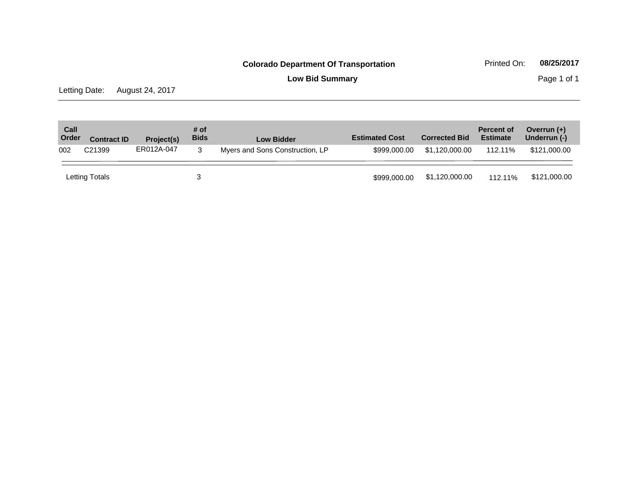**Low Bid Summary** Page 1 of 1

Letting Date: August 24, 2017

| Call<br>Order | <b>Contract ID</b> | Project(s) | # of<br><b>Bids</b> | <b>Low Bidder</b>               | <b>Estimated Cost</b> | <b>Corrected Bid</b> | <b>Percent of</b><br><b>Estimate</b> | Overrun $(+)$<br>Underrun (-) |
|---------------|--------------------|------------|---------------------|---------------------------------|-----------------------|----------------------|--------------------------------------|-------------------------------|
| 002           | C <sub>21399</sub> | ER012A-047 | 3                   | Myers and Sons Construction, LP | \$999,000,00          | \$1.120.000.00       | 112.11%                              | \$121.000.00                  |
|               | Letting Totals     |            |                     |                                 | \$999,000,00          | \$1,120,000.00       | 112.11%                              | \$121,000.00                  |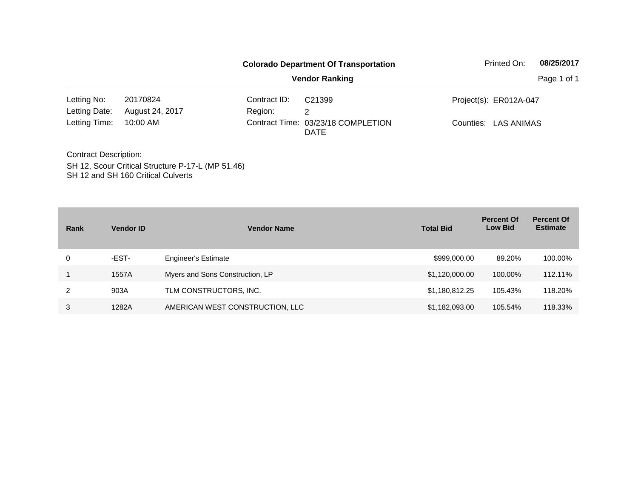|                              |                                                   |              | <b>Colorado Department Of Transportation</b>      | Printed On:            | 08/25/2017 |
|------------------------------|---------------------------------------------------|--------------|---------------------------------------------------|------------------------|------------|
|                              |                                                   |              | <b>Vendor Ranking</b>                             |                        |            |
| Letting No:                  | 20170824                                          | Contract ID: | C <sub>21399</sub>                                | Project(s): ER012A-047 |            |
| Letting Date:                | August 24, 2017                                   | Region:      | 2                                                 |                        |            |
| Letting Time:                | 10:00 AM                                          |              | Contract Time: 03/23/18 COMPLETION<br><b>DATE</b> | Counties: LAS ANIMAS   |            |
| <b>Contract Description:</b> |                                                   |              |                                                   |                        |            |
|                              | SH 12, Scour Critical Structure P-17-L (MP 51.46) |              |                                                   |                        |            |

SH 12 and SH 160 Critical Culverts

| Rank | <b>Vendor ID</b> | <b>Vendor Name</b>              | <b>Total Bid</b> | <b>Percent Of</b><br><b>Low Bid</b> | <b>Percent Of</b><br><b>Estimate</b> |
|------|------------------|---------------------------------|------------------|-------------------------------------|--------------------------------------|
| 0    | -EST-            | <b>Engineer's Estimate</b>      | \$999,000.00     | 89.20%                              | 100.00%                              |
|      | 1557A            | Myers and Sons Construction, LP | \$1,120,000.00   | 100.00%                             | 112.11%                              |
| 2    | 903A             | TLM CONSTRUCTORS, INC.          | \$1,180,812.25   | 105.43%                             | 118.20%                              |
| 3    | 1282A            | AMERICAN WEST CONSTRUCTION, LLC | \$1,182,093.00   | 105.54%                             | 118.33%                              |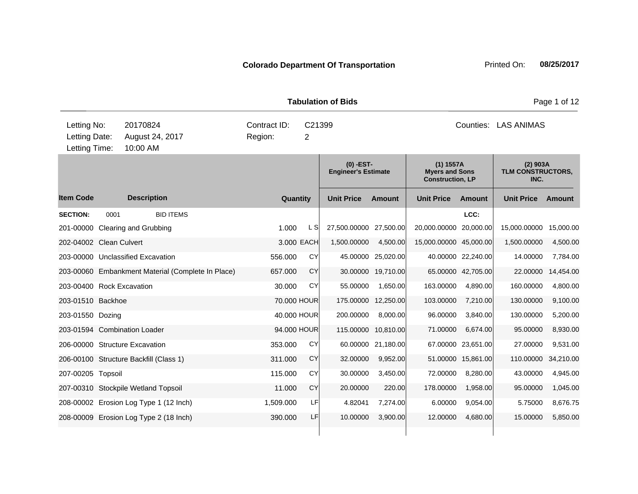| <b>Tabulation of Bids</b>                     |      |                      |                                                   |                         |          |                         |                                           |                    |                                                               |                    |                                         | Page 1 of 12 |  |  |
|-----------------------------------------------|------|----------------------|---------------------------------------------------|-------------------------|----------|-------------------------|-------------------------------------------|--------------------|---------------------------------------------------------------|--------------------|-----------------------------------------|--------------|--|--|
| Letting No:<br>Letting Date:<br>Letting Time: |      | 20170824<br>10:00 AM | August 24, 2017                                   | Contract ID:<br>Region: |          | C <sub>21399</sub><br>2 |                                           |                    | Counties: LAS ANIMAS                                          |                    |                                         |              |  |  |
|                                               |      |                      |                                                   |                         |          |                         | $(0)$ -EST-<br><b>Engineer's Estimate</b> |                    | (1) 1557A<br><b>Myers and Sons</b><br><b>Construction, LP</b> |                    | $(2)$ 903A<br>TLM CONSTRUCTORS,<br>INC. |              |  |  |
| <b>Item Code</b>                              |      | <b>Description</b>   |                                                   |                         | Quantity |                         | <b>Unit Price</b>                         | <b>Amount</b>      | <b>Unit Price</b>                                             | Amount             | <b>Unit Price</b>                       | Amount       |  |  |
| <b>SECTION:</b>                               | 0001 |                      | <b>BID ITEMS</b>                                  |                         |          |                         |                                           |                    |                                                               | LCC:               |                                         |              |  |  |
| 201-00000 Clearing and Grubbing               |      |                      |                                                   | 1.000                   |          | L SI                    | 27,500.00000                              | 27,500.00          | 20,000.00000                                                  | 20,000.00          | 15,000.00000                            | 15,000.00    |  |  |
| 202-04002 Clean Culvert                       |      |                      |                                                   |                         |          | 3.000 EACH              | 1,500.00000                               | 4,500.00           | 15,000.00000 45,000.00                                        |                    | 1,500.00000                             | 4,500.00     |  |  |
| 203-00000 Unclassified Excavation             |      |                      |                                                   | 556.000                 |          | CY                      |                                           | 45.00000 25,020.00 |                                                               | 40.00000 22,240.00 | 14.00000                                | 7,784.00     |  |  |
|                                               |      |                      | 203-00060 Embankment Material (Complete In Place) | 657.000                 |          | CY                      |                                           | 30.00000 19,710.00 |                                                               | 65.00000 42,705.00 | 22.00000                                | 14,454.00    |  |  |
| 203-00400 Rock Excavation                     |      |                      |                                                   | 30.000                  |          | CY                      | 55.00000                                  | 1,650.00           | 163.00000                                                     | 4,890.00           | 160.00000                               | 4,800.00     |  |  |
| 203-01510 Backhoe                             |      |                      |                                                   |                         |          | 70.000 HOUR             | 175.00000 12,250.00                       |                    | 103.00000                                                     | 7,210.00           | 130.00000                               | 9,100.00     |  |  |
| 203-01550 Dozing                              |      |                      |                                                   |                         |          | 40.000 HOUR             | 200.00000                                 | 8,000.00           | 96.00000                                                      | 3,840.00           | 130.00000                               | 5,200.00     |  |  |
| 203-01594 Combination Loader                  |      |                      |                                                   |                         |          | 94.000 HOUR             | 115.00000 10,810.00                       |                    | 71.00000                                                      | 6,674.00           | 95.00000                                | 8,930.00     |  |  |
| 206-00000 Structure Excavation                |      |                      |                                                   | 353.000                 |          | CY                      |                                           | 60.00000 21,180.00 |                                                               | 67.00000 23,651.00 | 27.00000                                | 9,531.00     |  |  |
| 206-00100 Structure Backfill (Class 1)        |      |                      |                                                   | 311.000                 |          | <b>CY</b>               | 32.00000                                  | 9,952.00           |                                                               | 51.00000 15,861.00 | 110.00000                               | 34,210.00    |  |  |
| 207-00205 Topsoil                             |      |                      |                                                   | 115.000                 |          | CY                      | 30.00000                                  | 3,450.00           | 72.00000                                                      | 8,280.00           | 43.00000                                | 4,945.00     |  |  |
| 207-00310 Stockpile Wetland Topsoil           |      |                      |                                                   | 11.000                  |          | <b>CY</b>               | 20.00000                                  | 220.00             | 178.00000                                                     | 1,958.00           | 95.00000                                | 1,045.00     |  |  |
|                                               |      |                      | 208-00002 Erosion Log Type 1 (12 Inch)            | 1,509.000               |          | LF                      | 4.82041                                   | 7,274.00           | 6.00000                                                       | 9,054.00           | 5.75000                                 | 8,676.75     |  |  |
|                                               |      |                      | 208-00009 Erosion Log Type 2 (18 Inch)            | 390,000                 |          | LF                      | 10.00000                                  | 3,900.00           | 12.00000                                                      | 4,680.00           | 15.00000                                | 5,850.00     |  |  |
|                                               |      |                      |                                                   |                         |          |                         |                                           |                    |                                                               |                    |                                         |              |  |  |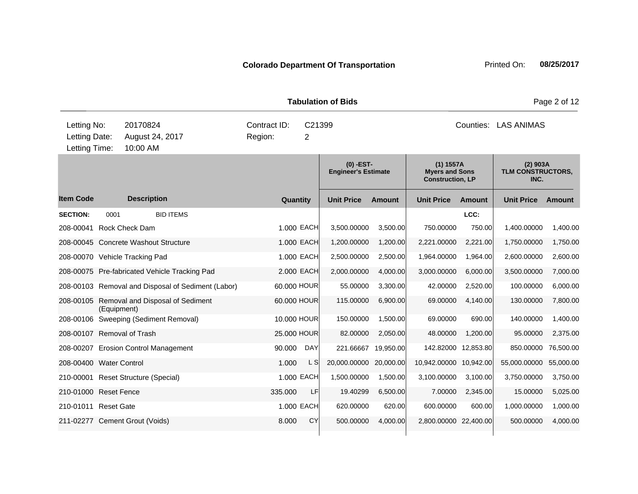|                                               |             |                                                    |                         |                          | <b>Tabulation of Bids</b>                 |               |                                                               |               |                                         | Page 2 of 12 |  |
|-----------------------------------------------|-------------|----------------------------------------------------|-------------------------|--------------------------|-------------------------------------------|---------------|---------------------------------------------------------------|---------------|-----------------------------------------|--------------|--|
| Letting No:<br>Letting Date:<br>Letting Time: |             | 20170824<br>August 24, 2017<br>10:00 AM            | Contract ID:<br>Region: | C21399<br>$\overline{2}$ |                                           |               | Counties:<br><b>LAS ANIMAS</b>                                |               |                                         |              |  |
|                                               |             |                                                    |                         |                          | $(0)$ -EST-<br><b>Engineer's Estimate</b> |               | (1) 1557A<br><b>Myers and Sons</b><br><b>Construction, LP</b> |               | $(2)$ 903A<br>TLM CONSTRUCTORS,<br>INC. |              |  |
| <b>Item Code</b>                              |             | <b>Description</b>                                 | Quantity                |                          | <b>Unit Price</b>                         | <b>Amount</b> | <b>Unit Price</b>                                             | <b>Amount</b> | <b>Unit Price</b>                       | Amount       |  |
| <b>SECTION:</b>                               | 0001        | <b>BID ITEMS</b>                                   |                         |                          |                                           |               |                                                               | LCC:          |                                         |              |  |
| 208-00041 Rock Check Dam                      |             |                                                    |                         | 1.000 EACH               | 3,500.00000                               | 3,500.00      | 750.00000                                                     | 750.00        | 1,400.00000                             | 1,400.00     |  |
|                                               |             | 208-00045 Concrete Washout Structure               |                         | 1.000 EACH               | 1,200.00000                               | 1,200.00      | 2,221.00000                                                   | 2,221.00      | 1,750.00000                             | 1,750.00     |  |
|                                               |             | 208-00070 Vehicle Tracking Pad                     |                         | 1.000 EACH               | 2,500.00000                               | 2,500.00      | 1,964.00000                                                   | 1,964.00      | 2,600.00000                             | 2,600.00     |  |
|                                               |             | 208-00075 Pre-fabricated Vehicle Tracking Pad      |                         | 2.000 EACH               | 2,000.00000                               | 4,000.00      | 3,000.00000                                                   | 6,000.00      | 3,500.00000                             | 7,000.00     |  |
|                                               |             | 208-00103 Removal and Disposal of Sediment (Labor) | 60.000 HOUR             |                          | 55.00000                                  | 3,300.00      | 42.00000                                                      | 2,520.00      | 100.00000                               | 6,000.00     |  |
|                                               | (Equipment) | 208-00105 Removal and Disposal of Sediment         | 60.000 HOUR             |                          | 115.00000                                 | 6,900.00      | 69.00000                                                      | 4,140.00      | 130.00000                               | 7,800.00     |  |
|                                               |             | 208-00106 Sweeping (Sediment Removal)              |                         | 10.000 HOUR              | 150.00000                                 | 1,500.00      | 69.00000                                                      | 690.00        | 140.00000                               | 1,400.00     |  |
| 208-00107 Removal of Trash                    |             |                                                    | 25.000 HOUR             |                          | 82.00000                                  | 2,050.00      | 48.00000                                                      | 1,200.00      | 95.00000                                | 2,375.00     |  |
|                                               |             | 208-00207 Erosion Control Management               | 90.000                  | DAY                      | 221.66667                                 | 19,950.00     | 142.82000 12,853.80                                           |               | 850.00000                               | 76,500.00    |  |
| 208-00400 Water Control                       |             |                                                    | 1.000                   | L SI                     | 20,000.00000                              | 20,000.00     | 10,942.00000 10,942.00                                        |               | 55,000.00000                            | 55,000.00    |  |
|                                               |             | 210-00001 Reset Structure (Special)                |                         | 1.000 EACH               | 1,500.00000                               | 1,500.00      | 3,100.00000                                                   | 3,100.00      | 3,750.00000                             | 3,750.00     |  |
| 210-01000 Reset Fence                         |             |                                                    | 335.000                 | LF                       | 19.40299                                  | 6,500.00      | 7.00000                                                       | 2,345.00      | 15.00000                                | 5,025.00     |  |
| 210-01011 Reset Gate                          |             |                                                    |                         | 1.000 EACH               | 620.00000                                 | 620.00        | 600.00000                                                     | 600.00        | 1,000.00000                             | 1,000.00     |  |
|                                               |             | 211-02277 Cement Grout (Voids)                     | 8.000                   | <b>CY</b>                | 500.00000                                 | 4,000.00      | 2,800.00000 22,400.00                                         |               | 500.00000                               | 4,000.00     |  |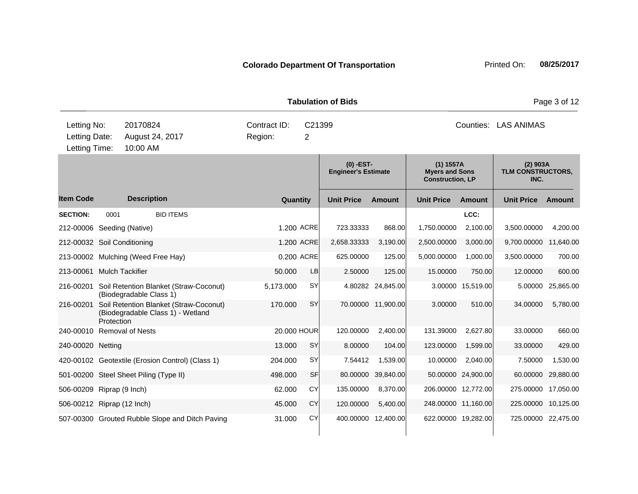|                                               |            |                                                                             |                         |           |             | <b>Tabulation of Bids</b>                 |                     | Page 3 of 12                                                    |                     |                                         |               |  |
|-----------------------------------------------|------------|-----------------------------------------------------------------------------|-------------------------|-----------|-------------|-------------------------------------------|---------------------|-----------------------------------------------------------------|---------------------|-----------------------------------------|---------------|--|
| Letting No:<br>Letting Date:<br>Letting Time: |            | 20170824<br>August 24, 2017<br>10:00 AM                                     | Contract ID:<br>Region: |           | C21399<br>2 |                                           |                     | Counties: LAS ANIMAS                                            |                     |                                         |               |  |
|                                               |            |                                                                             |                         |           |             | $(0)$ -EST-<br><b>Engineer's Estimate</b> |                     | $(1)$ 1557A<br><b>Myers and Sons</b><br><b>Construction, LP</b> |                     | $(2)$ 903A<br>TLM CONSTRUCTORS,<br>INC. |               |  |
| <b>Item Code</b>                              |            | <b>Description</b>                                                          |                         | Quantity  |             | <b>Unit Price</b>                         | <b>Amount</b>       | <b>Unit Price</b>                                               | Amount              | <b>Unit Price</b>                       | <b>Amount</b> |  |
| <b>SECTION:</b>                               | 0001       | <b>BID ITEMS</b>                                                            |                         |           |             |                                           |                     |                                                                 | LCC:                |                                         |               |  |
| 212-00006 Seeding (Native)                    |            |                                                                             |                         |           | 1.200 ACRE  | 723.33333                                 | 868.00              | 1,750.00000                                                     | 2,100.00            | 3,500.00000                             | 4,200.00      |  |
| 212-00032 Soil Conditioning                   |            |                                                                             |                         |           | 1.200 ACRE  | 2,658.33333                               | 3,190.00            | 2,500.00000                                                     | 3,000.00            | 9,700.00000                             | 11,640.00     |  |
|                                               |            | 213-00002 Mulching (Weed Free Hay)                                          |                         |           | 0.200 ACRE  | 625.00000                                 | 125.00              | 5,000.00000                                                     | 1,000.00            | 3,500.00000                             | 700.00        |  |
| 213-00061 Mulch Tackifier                     |            |                                                                             |                         | 50,000    | <b>LB</b>   | 2.50000                                   | 125.00              | 15.00000                                                        | 750.00              | 12.00000                                | 600.00        |  |
|                                               |            | 216-00201 Soil Retention Blanket (Straw-Coconut)<br>(Biodegradable Class 1) |                         | 5,173.000 | <b>SY</b>   |                                           | 4.80282 24,845.00   |                                                                 | 3.00000 15,519.00   | 5.00000                                 | 25,865.00     |  |
| 216-00201                                     | Protection | Soil Retention Blanket (Straw-Coconut)<br>(Biodegradable Class 1) - Wetland |                         | 170.000   | <b>SY</b>   |                                           | 70.00000 11,900.00  | 3.00000                                                         | 510.00              | 34.00000                                | 5,780.00      |  |
| 240-00010 Removal of Nests                    |            |                                                                             |                         |           | 20.000 HOUR | 120.00000                                 | 2,400.00            | 131.39000                                                       | 2,627.80            | 33.00000                                | 660.00        |  |
| 240-00020 Netting                             |            |                                                                             |                         | 13.000    | <b>SY</b>   | 8.00000                                   | 104.00              | 123.00000                                                       | 1,599.00            | 33.00000                                | 429.00        |  |
|                                               |            | 420-00102 Geotextile (Erosion Control) (Class 1)                            |                         | 204.000   | SY          | 7.54412                                   | 1,539.00            | 10.00000                                                        | 2,040.00            | 7.50000                                 | 1,530.00      |  |
|                                               |            | 501-00200 Steel Sheet Piling (Type II)                                      |                         | 498,000   | SF          | 80.00000                                  | 39,840.00           |                                                                 | 50.00000 24,900.00  | 60.00000                                | 29,880.00     |  |
| 506-00209 Riprap (9 Inch)                     |            |                                                                             |                         | 62.000    | CY          | 135.00000                                 | 8,370.00            | 206.00000 12,772.00                                             |                     | 275.00000                               | 17,050.00     |  |
| 506-00212 Riprap (12 Inch)                    |            |                                                                             |                         | 45,000    | CY          | 120.00000                                 | 5,400.00            | 248.00000 11,160.00                                             |                     | 225.00000                               | 10,125.00     |  |
|                                               |            | 507-00300 Grouted Rubble Slope and Ditch Paving                             |                         | 31.000    | CY          |                                           | 400.00000 12,400.00 |                                                                 | 622.00000 19,282.00 | 725.00000 22,475.00                     |               |  |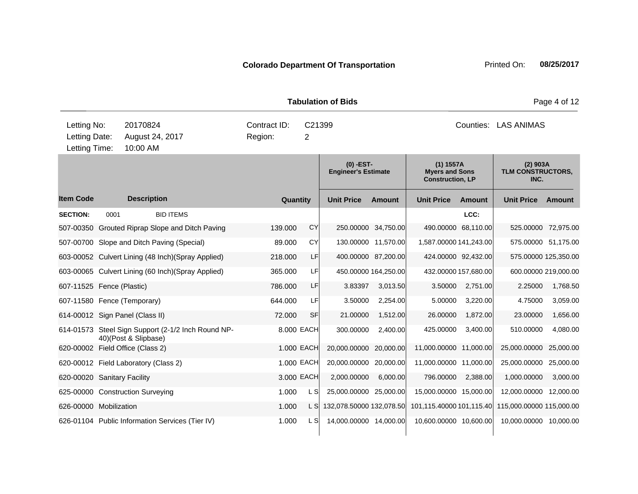|                                      |                                                                                          |                      |                                                    |  |                                        |  |            | <b>Tabulation of Bids</b>               |                      | Page 4 of 12                                                  |                      |                                         |                      |  |
|--------------------------------------|------------------------------------------------------------------------------------------|----------------------|----------------------------------------------------|--|----------------------------------------|--|------------|-----------------------------------------|----------------------|---------------------------------------------------------------|----------------------|-----------------------------------------|----------------------|--|
|                                      | Letting No:<br>20170824<br>Letting Date:<br>August 24, 2017<br>10:00 AM<br>Letting Time: |                      |                                                    |  | Contract ID:<br>C21399<br>Region:<br>2 |  |            |                                         |                      | Counties: LAS ANIMAS                                          |                      |                                         |                      |  |
|                                      |                                                                                          |                      |                                                    |  |                                        |  |            | (0) -EST-<br><b>Engineer's Estimate</b> |                      | (1) 1557A<br><b>Myers and Sons</b><br><b>Construction, LP</b> |                      | $(2)$ 903A<br>TLM CONSTRUCTORS,<br>INC. |                      |  |
| <b>Item Code</b>                     |                                                                                          | <b>Description</b>   |                                                    |  |                                        |  | Quantity   | <b>Unit Price</b>                       | <b>Amount</b>        | <b>Unit Price</b>                                             | <b>Amount</b>        | <b>Unit Price</b>                       | Amount               |  |
| <b>SECTION:</b>                      | 0001                                                                                     |                      | <b>BID ITEMS</b>                                   |  |                                        |  |            |                                         |                      |                                                               | LCC:                 |                                         |                      |  |
|                                      |                                                                                          |                      | 507-00350 Grouted Riprap Slope and Ditch Paving    |  | 139.000                                |  | <b>CY</b>  |                                         | 250.00000 34,750.00  |                                                               | 490.00000 68,110.00  |                                         | 525.00000 72,975.00  |  |
|                                      |                                                                                          |                      | 507-00700 Slope and Ditch Paving (Special)         |  | 89.000                                 |  | <b>CY</b>  |                                         | 130.00000 11,570.00  | 1,587.00000 141,243.00                                        |                      |                                         | 575.00000 51,175.00  |  |
|                                      |                                                                                          |                      | 603-00052 Culvert Lining (48 Inch) (Spray Applied) |  | 218.000                                |  | LF         |                                         | 400.00000 87,200.00  |                                                               | 424.00000 92,432.00  |                                         | 575.00000 125,350.00 |  |
|                                      |                                                                                          |                      | 603-00065 Culvert Lining (60 Inch) (Spray Applied) |  | 365.000                                |  | LF         |                                         | 450.00000 164,250.00 |                                                               | 432.00000 157,680.00 |                                         | 600.00000 219,000.00 |  |
| 607-11525 Fence (Plastic)            |                                                                                          |                      |                                                    |  | 786.000                                |  | LF         | 3.83397                                 | 3,013.50             | 3.50000                                                       | 2,751.00             | 2.25000                                 | 1,768.50             |  |
| 607-11580 Fence (Temporary)          |                                                                                          |                      |                                                    |  | 644.000                                |  | LF         | 3.50000                                 | 2,254.00             | 5.00000                                                       | 3,220.00             | 4.75000                                 | 3,059.00             |  |
| 614-00012 Sign Panel (Class II)      |                                                                                          |                      |                                                    |  | 72.000                                 |  | <b>SF</b>  | 21.00000                                | 1,512.00             | 26.00000                                                      | 1,872.00             | 23.00000                                | 1,656.00             |  |
|                                      |                                                                                          | 40)(Post & Slipbase) | 614-01573 Steel Sign Support (2-1/2 Inch Round NP- |  |                                        |  | 8.000 EACH | 300.00000                               | 2,400.00             | 425.00000                                                     | 3,400.00             | 510.00000                               | 4,080.00             |  |
| 620-00002 Field Office (Class 2)     |                                                                                          |                      |                                                    |  |                                        |  | 1.000 EACH | 20,000.00000                            | 20,000.00            | 11,000.00000 11,000.00                                        |                      | 25,000.00000                            | 25,000.00            |  |
| 620-00012 Field Laboratory (Class 2) |                                                                                          |                      |                                                    |  |                                        |  | 1.000 EACH | 20,000.00000                            | 20,000.00            | 11,000.00000                                                  | 11,000.00            | 25,000.00000                            | 25,000.00            |  |
| 620-00020 Sanitary Facility          |                                                                                          |                      |                                                    |  |                                        |  | 3.000 EACH | 2,000.00000                             | 6,000.00             | 796.00000                                                     | 2,388.00             | 1,000.00000                             | 3,000.00             |  |
| 625-00000 Construction Surveying     |                                                                                          |                      |                                                    |  | 1.000                                  |  | L S        | 25,000.00000 25,000.00                  |                      | 15,000.00000 15,000.00                                        |                      | 12,000.00000                            | 12,000.00            |  |
| 626-00000 Mobilization               |                                                                                          |                      |                                                    |  | 1.000                                  |  | L S        | 132,078.50000 132,078.50                |                      | 101.115.40000 101.115.40                                      |                      | 115,000.00000 115,000.00                |                      |  |
|                                      |                                                                                          |                      | 626-01104 Public Information Services (Tier IV)    |  | 1.000                                  |  | L SI       | 14,000.00000 14,000.00                  |                      | 10,600.00000 10,600.00                                        |                      | 10,000.00000 10,000.00                  |                      |  |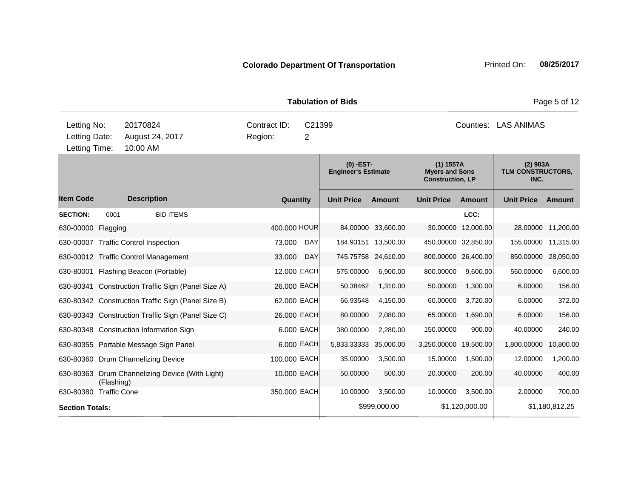|                                               |            |                                                    |                         |            | <b>Tabulation of Bids</b>                 |                      | Page 5 of 12                                                    |                    |                                         |                    |  |
|-----------------------------------------------|------------|----------------------------------------------------|-------------------------|------------|-------------------------------------------|----------------------|-----------------------------------------------------------------|--------------------|-----------------------------------------|--------------------|--|
| Letting No:<br>Letting Date:<br>Letting Time: |            | 20170824<br>August 24, 2017<br>10:00 AM            | Contract ID:<br>Region: | C21399     |                                           | Counties: LAS ANIMAS |                                                                 |                    |                                         |                    |  |
|                                               |            |                                                    |                         |            | $(0)$ -EST-<br><b>Engineer's Estimate</b> |                      | $(1)$ 1557A<br><b>Myers and Sons</b><br><b>Construction, LP</b> |                    | $(2)$ 903A<br>TLM CONSTRUCTORS,<br>INC. |                    |  |
| <b>Item Code</b>                              |            | <b>Description</b>                                 | Quantity                |            | <b>Unit Price</b>                         | <b>Amount</b>        | <b>Unit Price</b>                                               | <b>Amount</b>      | <b>Unit Price</b>                       | <b>Amount</b>      |  |
| <b>SECTION:</b>                               | 0001       | <b>BID ITEMS</b>                                   |                         |            |                                           |                      |                                                                 | LCC:               |                                         |                    |  |
| 630-00000 Flagging                            |            |                                                    | 400,000 HOUR            |            |                                           | 84.00000 33,600.00   |                                                                 | 30.00000 12,000.00 |                                         | 28.00000 11,200.00 |  |
|                                               |            | 630-00007 Traffic Control Inspection               | 73.000                  | DAY        |                                           | 184.93151 13,500.00  | 450.00000 32,850.00                                             |                    | 155.00000                               | 11,315.00          |  |
|                                               |            | 630-00012 Traffic Control Management               | 33.000                  | <b>DAY</b> | 745.75758 24,610.00                       |                      | 800.00000 26,400.00                                             |                    | 850.00000                               | 28,050.00          |  |
|                                               |            | 630-80001 Flashing Beacon (Portable)               | 12.000 EACH             |            | 575.00000                                 | 6,900.00             | 800.00000                                                       | 9,600.00           | 550.00000                               | 6,600.00           |  |
|                                               |            | 630-80341 Construction Traffic Sign (Panel Size A) | 26.000 EACH             |            | 50.38462                                  | 1,310.00             | 50.00000                                                        | 1,300.00           | 6.00000                                 | 156.00             |  |
|                                               |            | 630-80342 Construction Traffic Sign (Panel Size B) | 62.000 EACH             |            | 66.93548                                  | 4,150.00             | 60.00000                                                        | 3,720.00           | 6.00000                                 | 372.00             |  |
|                                               |            | 630-80343 Construction Traffic Sign (Panel Size C) | 26.000 EACH             |            | 80.00000                                  | 2,080.00             | 65.00000                                                        | 1,690.00           | 6.00000                                 | 156.00             |  |
|                                               |            | 630-80348 Construction Information Sign            |                         | 6.000 EACH | 380.00000                                 | 2,280.00             | 150.00000                                                       | 900.00             | 40.00000                                | 240.00             |  |
|                                               |            | 630-80355 Portable Message Sign Panel              |                         | 6.000 EACH | 5,833.33333                               | 35,000.00            | 3,250.00000 19,500.00                                           |                    | 1,800.00000                             | 10,800.00          |  |
|                                               |            | 630-80360 Drum Channelizing Device                 | 100.000 EACH            |            | 35.00000                                  | 3,500.00             | 15.00000                                                        | 1,500.00           | 12.00000                                | 1,200.00           |  |
|                                               | (Flashing) | 630-80363 Drum Channelizing Device (With Light)    | 10.000 EACH             |            | 50.00000                                  | 500.00               | 20.00000                                                        | 200.00             | 40.00000                                | 400.00             |  |
| 630-80380 Traffic Cone                        |            |                                                    | 350.000 EACH            |            | 10.00000                                  | 3,500.00             | 10.00000                                                        | 3,500.00           | 2.00000                                 | 700.00             |  |
| <b>Section Totals:</b>                        |            |                                                    |                         |            |                                           | \$999,000.00         |                                                                 | \$1,120,000.00     |                                         | \$1,180,812.25     |  |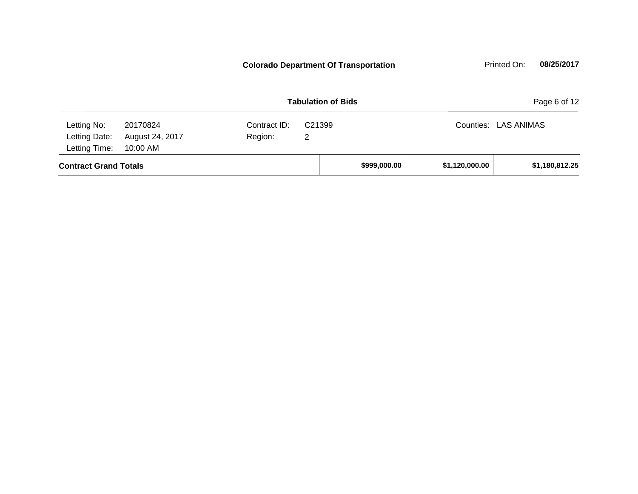**Contract Grand Totals \$999,000.00 \$1,120,000.00 \$1,180,812.25 Tabulation of Bids Page 6 of 12** 10:00 AM Counties: LAS ANIMAS Letting Date: August 24, 2017 Region: 2 C21399 Region: Letting Time: Letting No: 20170824 Contract ID: **Colorado Department Of Transportation** Printed On: 08/25/2017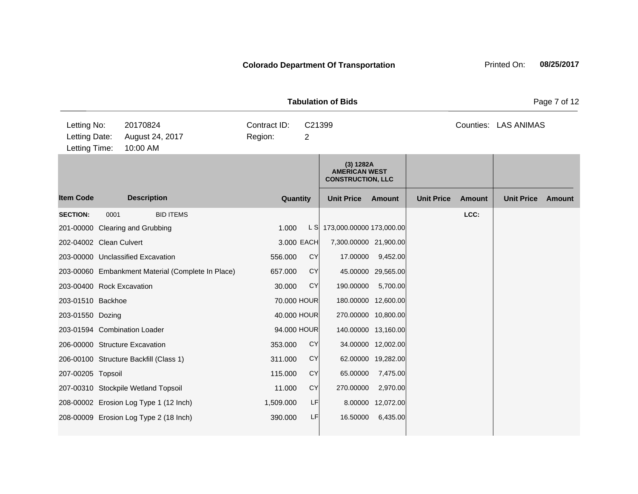|                                               |      |                                                   | <b>Tabulation of Bids</b> |             | Page 7 of 12                                                  |                     |                   |               |                      |               |
|-----------------------------------------------|------|---------------------------------------------------|---------------------------|-------------|---------------------------------------------------------------|---------------------|-------------------|---------------|----------------------|---------------|
| Letting No:<br>Letting Date:<br>Letting Time: |      | 20170824<br>August 24, 2017<br>10:00 AM           | Contract ID:<br>Region:   | C21399<br>2 |                                                               |                     |                   |               | Counties: LAS ANIMAS |               |
|                                               |      |                                                   |                           |             | (3) 1282A<br><b>AMERICAN WEST</b><br><b>CONSTRUCTION, LLC</b> |                     |                   |               |                      |               |
| <b>Item Code</b>                              |      | <b>Description</b>                                | Quantity                  |             | <b>Unit Price</b>                                             | Amount              | <b>Unit Price</b> | <b>Amount</b> | <b>Unit Price</b>    | <b>Amount</b> |
| <b>SECTION:</b>                               | 0001 | <b>BID ITEMS</b>                                  |                           |             |                                                               |                     |                   | LCC:          |                      |               |
|                                               |      | 201-00000 Clearing and Grubbing                   | 1.000                     |             | L S 173,000.00000 173,000.00                                  |                     |                   |               |                      |               |
| 202-04002 Clean Culvert                       |      |                                                   | 3.000 EACH                |             | 7,300.00000 21,900.00                                         |                     |                   |               |                      |               |
|                                               |      | 203-00000 Unclassified Excavation                 | 556.000                   | CY          | 17.00000                                                      | 9,452.00            |                   |               |                      |               |
|                                               |      | 203-00060 Embankment Material (Complete In Place) | 657.000                   | <b>CY</b>   |                                                               | 45.00000 29,565.00  |                   |               |                      |               |
| 203-00400 Rock Excavation                     |      |                                                   | 30.000                    | <b>CY</b>   | 190.00000                                                     | 5,700.00            |                   |               |                      |               |
| 203-01510 Backhoe                             |      |                                                   | 70.000 HOUR               |             |                                                               | 180.00000 12,600.00 |                   |               |                      |               |
| 203-01550 Dozing                              |      |                                                   | 40.000 HOUR               |             |                                                               | 270.00000 10,800.00 |                   |               |                      |               |
|                                               |      | 203-01594 Combination Loader                      | 94.000 HOUR               |             |                                                               | 140.00000 13,160.00 |                   |               |                      |               |
|                                               |      | 206-00000 Structure Excavation                    | 353.000                   | <b>CY</b>   |                                                               | 34.00000 12,002.00  |                   |               |                      |               |
|                                               |      | 206-00100 Structure Backfill (Class 1)            | 311.000                   | <b>CY</b>   |                                                               | 62.00000 19,282.00  |                   |               |                      |               |
| 207-00205 Topsoil                             |      |                                                   | 115.000                   | CY          | 65.00000                                                      | 7,475.00            |                   |               |                      |               |
|                                               |      | 207-00310 Stockpile Wetland Topsoil               | 11.000                    | CY          | 270.00000                                                     | 2,970.00            |                   |               |                      |               |
|                                               |      | 208-00002 Erosion Log Type 1 (12 Inch)            | 1,509.000                 | LF          | 8.00000                                                       | 12,072.00           |                   |               |                      |               |
|                                               |      | 208-00009 Erosion Log Type 2 (18 Inch)            | 390.000                   | LF          | 16.50000                                                      | 6,435.00            |                   |               |                      |               |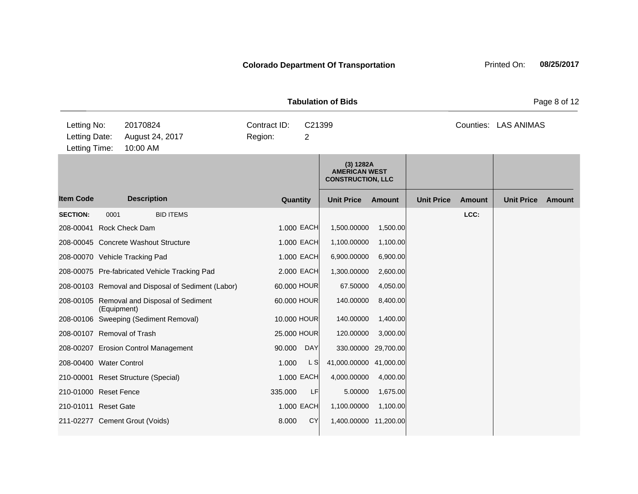|                                               |             |                                                    |                         |             |                                                               |                     | Page 8 of 12      |        |                      |        |
|-----------------------------------------------|-------------|----------------------------------------------------|-------------------------|-------------|---------------------------------------------------------------|---------------------|-------------------|--------|----------------------|--------|
| Letting No:<br>Letting Date:<br>Letting Time: |             | 20170824<br>August 24, 2017<br>10:00 AM            | Contract ID:<br>Region: | C21399<br>2 |                                                               |                     |                   |        | Counties: LAS ANIMAS |        |
|                                               |             |                                                    |                         |             | (3) 1282A<br><b>AMERICAN WEST</b><br><b>CONSTRUCTION, LLC</b> |                     |                   |        |                      |        |
| <b>Item Code</b>                              |             | <b>Description</b>                                 |                         | Quantity    | <b>Unit Price</b>                                             | Amount              | <b>Unit Price</b> | Amount | <b>Unit Price</b>    | Amount |
| <b>SECTION:</b>                               | 0001        | <b>BID ITEMS</b>                                   |                         |             |                                                               |                     |                   | LCC:   |                      |        |
| 208-00041 Rock Check Dam                      |             |                                                    |                         | 1.000 EACH  | 1,500.00000                                                   | 1,500.00            |                   |        |                      |        |
|                                               |             | 208-00045 Concrete Washout Structure               |                         | 1.000 EACH  | 1,100.00000                                                   | 1,100.00            |                   |        |                      |        |
|                                               |             | 208-00070 Vehicle Tracking Pad                     |                         | 1.000 EACH  | 6,900.00000                                                   | 6,900.00            |                   |        |                      |        |
|                                               |             | 208-00075 Pre-fabricated Vehicle Tracking Pad      |                         | 2.000 EACH  | 1,300.00000                                                   | 2,600.00            |                   |        |                      |        |
|                                               |             | 208-00103 Removal and Disposal of Sediment (Labor) |                         | 60.000 HOUR | 67.50000                                                      | 4,050.00            |                   |        |                      |        |
|                                               | (Equipment) | 208-00105 Removal and Disposal of Sediment         |                         | 60.000 HOUR | 140.00000                                                     | 8,400.00            |                   |        |                      |        |
|                                               |             | 208-00106 Sweeping (Sediment Removal)              |                         | 10.000 HOUR | 140.00000                                                     | 1,400.00            |                   |        |                      |        |
| 208-00107 Removal of Trash                    |             |                                                    |                         | 25.000 HOUR | 120.00000                                                     | 3,000.00            |                   |        |                      |        |
|                                               |             | 208-00207 Erosion Control Management               | 90.000                  | <b>DAY</b>  |                                                               | 330.00000 29,700.00 |                   |        |                      |        |
| 208-00400 Water Control                       |             |                                                    | 1.000                   | L S         | 41,000.00000 41,000.00                                        |                     |                   |        |                      |        |
|                                               |             | 210-00001 Reset Structure (Special)                |                         | 1.000 EACH  | 4,000.00000                                                   | 4,000.00            |                   |        |                      |        |
| 210-01000 Reset Fence                         |             |                                                    | 335.000                 | LF          | 5.00000                                                       | 1,675.00            |                   |        |                      |        |
| 210-01011 Reset Gate                          |             |                                                    |                         | 1.000 EACH  | 1,100.00000                                                   | 1,100.00            |                   |        |                      |        |
|                                               |             | 211-02277 Cement Grout (Voids)                     | 8.000                   | <b>CY</b>   | 1,400.00000 11,200.00                                         |                     |                   |        |                      |        |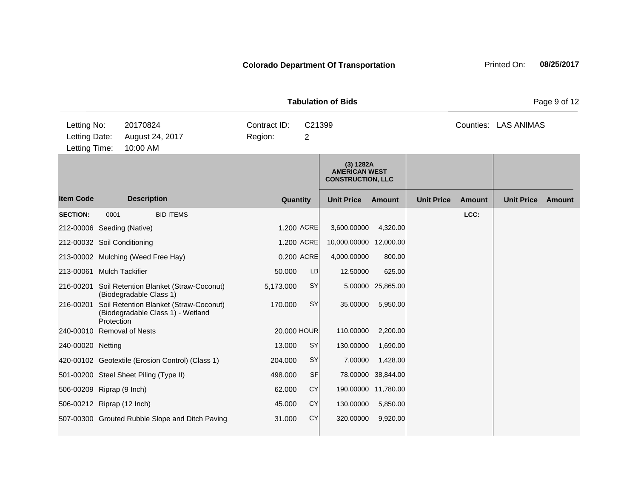|                                               |            |                                                                             |                         | <b>Tabulation of Bids</b>            |                                                               |                     |                   |        | Page 9 of 12         |        |
|-----------------------------------------------|------------|-----------------------------------------------------------------------------|-------------------------|--------------------------------------|---------------------------------------------------------------|---------------------|-------------------|--------|----------------------|--------|
| Letting No:<br>Letting Date:<br>Letting Time: |            | 20170824<br>August 24, 2017<br>10:00 AM                                     | Contract ID:<br>Region: | C <sub>21399</sub><br>$\overline{2}$ |                                                               |                     |                   |        | Counties: LAS ANIMAS |        |
|                                               |            |                                                                             |                         |                                      | (3) 1282A<br><b>AMERICAN WEST</b><br><b>CONSTRUCTION, LLC</b> |                     |                   |        |                      |        |
| <b>Item Code</b>                              |            | <b>Description</b>                                                          | Quantity                |                                      | <b>Unit Price</b>                                             | Amount              | <b>Unit Price</b> | Amount | <b>Unit Price</b>    | Amount |
| <b>SECTION:</b>                               | 0001       | <b>BID ITEMS</b>                                                            |                         |                                      |                                                               |                     |                   | LCC:   |                      |        |
| 212-00006 Seeding (Native)                    |            |                                                                             |                         | 1.200 ACRE                           | 3,600.00000                                                   | 4,320.00            |                   |        |                      |        |
| 212-00032 Soil Conditioning                   |            |                                                                             |                         | 1.200 ACRE                           | 10,000.00000 12,000.00                                        |                     |                   |        |                      |        |
|                                               |            | 213-00002 Mulching (Weed Free Hay)                                          |                         | 0.200 ACRE                           | 4,000.00000                                                   | 800.00              |                   |        |                      |        |
| 213-00061 Mulch Tackifier                     |            |                                                                             | 50.000                  | LB                                   | 12.50000                                                      | 625.00              |                   |        |                      |        |
|                                               |            | 216-00201 Soil Retention Blanket (Straw-Coconut)<br>(Biodegradable Class 1) | 5,173.000               | <b>SY</b>                            |                                                               | 5.00000 25,865.00   |                   |        |                      |        |
| 216-00201                                     | Protection | Soil Retention Blanket (Straw-Coconut)<br>(Biodegradable Class 1) - Wetland | 170.000                 | <b>SY</b>                            | 35.00000                                                      | 5,950.00            |                   |        |                      |        |
| 240-00010 Removal of Nests                    |            |                                                                             |                         | 20.000 HOUR                          | 110.00000                                                     | 2,200.00            |                   |        |                      |        |
| 240-00020 Netting                             |            |                                                                             | 13.000                  | <b>SY</b>                            | 130.00000                                                     | 1,690.00            |                   |        |                      |        |
|                                               |            | 420-00102 Geotextile (Erosion Control) (Class 1)                            | 204.000                 | SY                                   | 7.00000                                                       | 1,428.00            |                   |        |                      |        |
|                                               |            | 501-00200 Steel Sheet Piling (Type II)                                      | 498.000                 | SF                                   |                                                               | 78.00000 38,844.00  |                   |        |                      |        |
| 506-00209 Riprap (9 Inch)                     |            |                                                                             | 62.000                  | <b>CY</b>                            |                                                               | 190.00000 11,780.00 |                   |        |                      |        |
| 506-00212 Riprap (12 Inch)                    |            |                                                                             | 45.000                  | <b>CY</b>                            | 130.00000                                                     | 5,850.00            |                   |        |                      |        |
|                                               |            | 507-00300 Grouted Rubble Slope and Ditch Paving                             | 31.000                  | <b>CY</b>                            | 320.00000                                                     | 9,920.00            |                   |        |                      |        |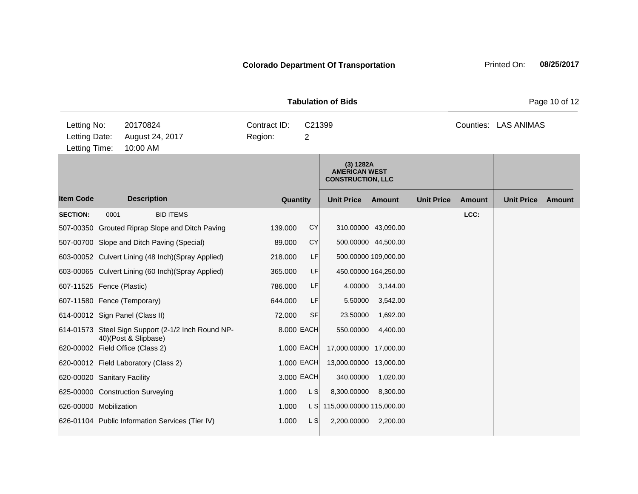| <b>Tabulation of Bids</b>                     |      |                      |                                                    |                         |             |                                                               |                      |                   |               |                      | Page 10 of 12 |
|-----------------------------------------------|------|----------------------|----------------------------------------------------|-------------------------|-------------|---------------------------------------------------------------|----------------------|-------------------|---------------|----------------------|---------------|
| Letting No:<br>Letting Date:<br>Letting Time: |      | 20170824<br>10:00 AM | August 24, 2017                                    | Contract ID:<br>Region: | C21399<br>2 |                                                               |                      |                   |               | Counties: LAS ANIMAS |               |
|                                               |      |                      |                                                    |                         |             | (3) 1282A<br><b>AMERICAN WEST</b><br><b>CONSTRUCTION, LLC</b> |                      |                   |               |                      |               |
| <b>Item Code</b>                              |      | <b>Description</b>   |                                                    | Quantity                |             | <b>Unit Price</b>                                             | Amount               | <b>Unit Price</b> | <b>Amount</b> | <b>Unit Price</b>    | Amount        |
| <b>SECTION:</b>                               | 0001 |                      | <b>BID ITEMS</b>                                   |                         |             |                                                               |                      |                   | LCC:          |                      |               |
|                                               |      |                      | 507-00350 Grouted Riprap Slope and Ditch Paving    | 139.000                 | <b>CY</b>   | 310.00000 43,090.00                                           |                      |                   |               |                      |               |
|                                               |      |                      | 507-00700 Slope and Ditch Paving (Special)         | 89.000                  | CY          |                                                               | 500.00000 44,500.00  |                   |               |                      |               |
|                                               |      |                      | 603-00052 Culvert Lining (48 Inch)(Spray Applied)  | 218.000                 | LF          |                                                               | 500.00000 109,000.00 |                   |               |                      |               |
|                                               |      |                      | 603-00065 Culvert Lining (60 Inch) (Spray Applied) | 365.000                 | LF          |                                                               | 450.00000 164,250.00 |                   |               |                      |               |
| 607-11525 Fence (Plastic)                     |      |                      |                                                    | 786.000                 | LF          | 4.00000                                                       | 3,144.00             |                   |               |                      |               |
| 607-11580 Fence (Temporary)                   |      |                      |                                                    | 644.000                 | LF          | 5.50000                                                       | 3,542.00             |                   |               |                      |               |
| 614-00012 Sign Panel (Class II)               |      |                      |                                                    | 72.000                  | <b>SF</b>   | 23.50000                                                      | 1,692.00             |                   |               |                      |               |
|                                               |      | 40)(Post & Slipbase) | 614-01573 Steel Sign Support (2-1/2 Inch Round NP- |                         | 8.000 EACH  | 550.00000                                                     | 4,400.00             |                   |               |                      |               |
| 620-00002 Field Office (Class 2)              |      |                      |                                                    |                         | 1.000 EACH  | 17,000.00000 17,000.00                                        |                      |                   |               |                      |               |
| 620-00012 Field Laboratory (Class 2)          |      |                      |                                                    |                         | 1.000 EACH  | 13,000.00000 13,000.00                                        |                      |                   |               |                      |               |
| 620-00020 Sanitary Facility                   |      |                      |                                                    |                         | 3.000 EACH  | 340.00000                                                     | 1,020.00             |                   |               |                      |               |
| 625-00000 Construction Surveying              |      |                      |                                                    | 1.000                   | L S         | 8,300.00000                                                   | 8,300.00             |                   |               |                      |               |
| 626-00000 Mobilization                        |      |                      |                                                    | 1.000                   | L SI        | 115,000.00000 115,000.00                                      |                      |                   |               |                      |               |
|                                               |      |                      | 626-01104 Public Information Services (Tier IV)    | 1.000                   | L S         | 2,200.00000                                                   | 2,200.00             |                   |               |                      |               |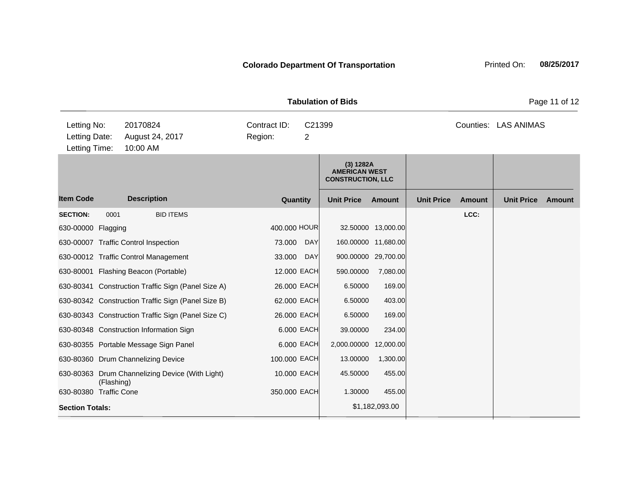|                                               |            |                                                                                                          |                                                     |                          | <b>Tabulation of Bids</b>                                     |                                                                  |                   |               |                      | Page 11 of 12 |
|-----------------------------------------------|------------|----------------------------------------------------------------------------------------------------------|-----------------------------------------------------|--------------------------|---------------------------------------------------------------|------------------------------------------------------------------|-------------------|---------------|----------------------|---------------|
| Letting No:<br>Letting Date:<br>Letting Time: |            | 20170824<br>August 24, 2017<br>10:00 AM                                                                  | Contract ID:<br>C21399<br>Region:<br>$\overline{2}$ |                          |                                                               |                                                                  |                   |               | Counties: LAS ANIMAS |               |
|                                               |            |                                                                                                          |                                                     |                          | (3) 1282A<br><b>AMERICAN WEST</b><br><b>CONSTRUCTION, LLC</b> |                                                                  |                   |               |                      |               |
| <b>Item Code</b>                              |            | <b>Description</b>                                                                                       | Quantity                                            |                          | <b>Unit Price</b>                                             | Amount                                                           | <b>Unit Price</b> | <b>Amount</b> | <b>Unit Price</b>    | <b>Amount</b> |
| <b>SECTION:</b><br>630-00000 Flagging         | 0001       | <b>BID ITEMS</b><br>630-00007 Traffic Control Inspection<br>630-00012 Traffic Control Management         | 400.000 HOUR<br>73.000<br>33.000                    | <b>DAY</b><br><b>DAY</b> |                                                               | 32.50000 13,000.00<br>160.00000 11,680.00<br>900.00000 29,700.00 |                   | LCC:          |                      |               |
|                                               |            | 630-80001 Flashing Beacon (Portable)                                                                     | 12.000 EACH                                         |                          | 590.00000                                                     | 7,080.00                                                         |                   |               |                      |               |
|                                               |            | 630-80341 Construction Traffic Sign (Panel Size A)<br>630-80342 Construction Traffic Sign (Panel Size B) | 26.000 EACH<br>62.000 EACH                          |                          | 6.50000<br>6.50000                                            | 169.00<br>403.00                                                 |                   |               |                      |               |
|                                               |            | 630-80343 Construction Traffic Sign (Panel Size C)<br>630-80348 Construction Information Sign            | 26.000 EACH                                         | 6.000 EACH               | 6.50000<br>39.00000                                           | 169.00<br>234.00                                                 |                   |               |                      |               |
|                                               |            | 630-80355 Portable Message Sign Panel<br>630-80360 Drum Channelizing Device                              | 100.000 EACH                                        | 6.000 EACH               | 2,000.00000<br>13.00000                                       | 12,000.00<br>1,300.00                                            |                   |               |                      |               |
| 630-80380 Traffic Cone                        | (Flashing) | 630-80363 Drum Channelizing Device (With Light)                                                          | 10.000 EACH<br>350.000 EACH                         |                          | 45.50000<br>1.30000                                           | 455.00<br>455.00                                                 |                   |               |                      |               |
| <b>Section Totals:</b>                        |            |                                                                                                          |                                                     |                          |                                                               | \$1,182,093.00                                                   |                   |               |                      |               |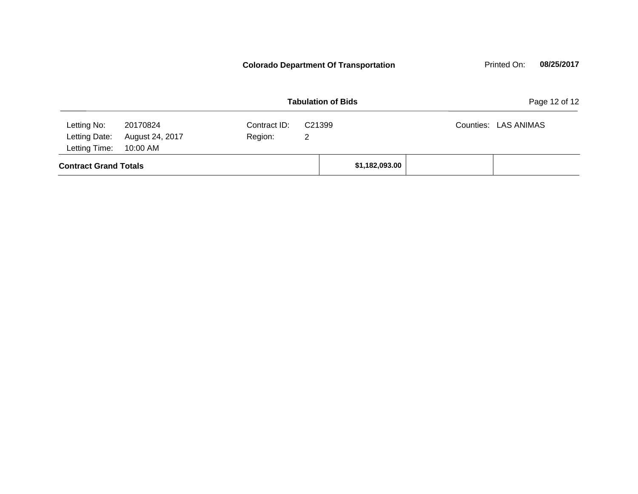**Contract Grand Totals 81,182,093.00 Tabulation of Bids** Page 12 of 12 10:00 AM Counties: LAS ANIMAS Letting Date: August 24, 2017 Region: 2 C21399 Region: Letting Time: Letting No: 20170824 Contract ID: Counties: **Colorado Department Of Transportation** Printed On: 08/25/2017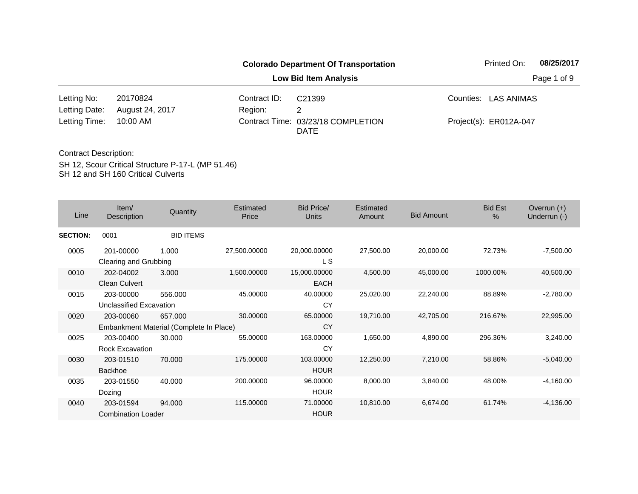|               |                 |              | <b>Colorado Department Of Transportation</b>      | Printed On:            | 08/25/2017  |
|---------------|-----------------|--------------|---------------------------------------------------|------------------------|-------------|
|               |                 |              | Low Bid Item Analysis                             |                        | Page 1 of 9 |
| Letting No:   | 20170824        | Contract ID: | C21399                                            | Counties: LAS ANIMAS   |             |
| Letting Date: | August 24, 2017 | Region:      | 2                                                 |                        |             |
| Letting Time: | 10:00 AM        |              | Contract Time: 03/23/18 COMPLETION<br><b>DATE</b> | Project(s): ER012A-047 |             |

SH 12, Scour Critical Structure P-17-L (MP 51.46) SH 12 and SH 160 Critical Culverts Contract Description:

| Line            | Item/<br>Description                   | Quantity                                           | Estimated<br>Price | Bid Price/<br><b>Units</b> | Estimated<br>Amount | <b>Bid Amount</b> | <b>Bid Est</b><br>% | Overrun $(+)$<br>Underrun (-) |
|-----------------|----------------------------------------|----------------------------------------------------|--------------------|----------------------------|---------------------|-------------------|---------------------|-------------------------------|
| <b>SECTION:</b> | 0001                                   | <b>BID ITEMS</b>                                   |                    |                            |                     |                   |                     |                               |
| 0005            | 201-00000<br>Clearing and Grubbing     | 1.000                                              | 27,500.00000       | 20,000.00000<br>L S        | 27,500.00           | 20,000.00         | 72.73%              | $-7,500.00$                   |
| 0010            | 202-04002<br>Clean Culvert             | 3.000                                              | 1,500.00000        | 15,000.00000<br>EACH       | 4,500.00            | 45,000.00         | 1000.00%            | 40,500.00                     |
| 0015            | 203-00000<br>Unclassified Excavation   | 556,000                                            | 45.00000           | 40.00000<br>CY             | 25,020.00           | 22,240.00         | 88.89%              | $-2,780.00$                   |
| 0020            | 203-00060                              | 657.000<br>Embankment Material (Complete In Place) | 30.00000           | 65.00000<br><b>CY</b>      | 19,710.00           | 42,705.00         | 216.67%             | 22,995.00                     |
| 0025            | 203-00400<br>Rock Excavation           | 30.000                                             | 55,00000           | 163.00000<br>CY            | 1,650.00            | 4,890.00          | 296.36%             | 3,240.00                      |
| 0030            | 203-01510<br><b>Backhoe</b>            | 70.000                                             | 175,00000          | 103.00000<br><b>HOUR</b>   | 12,250.00           | 7,210.00          | 58.86%              | $-5.040.00$                   |
| 0035            | 203-01550<br>Dozing                    | 40.000                                             | 200,00000          | 96.00000<br><b>HOUR</b>    | 8,000.00            | 3,840.00          | 48.00%              | $-4,160.00$                   |
| 0040            | 203-01594<br><b>Combination Loader</b> | 94.000                                             | 115.00000          | 71.00000<br><b>HOUR</b>    | 10,810.00           | 6,674.00          | 61.74%              | $-4,136.00$                   |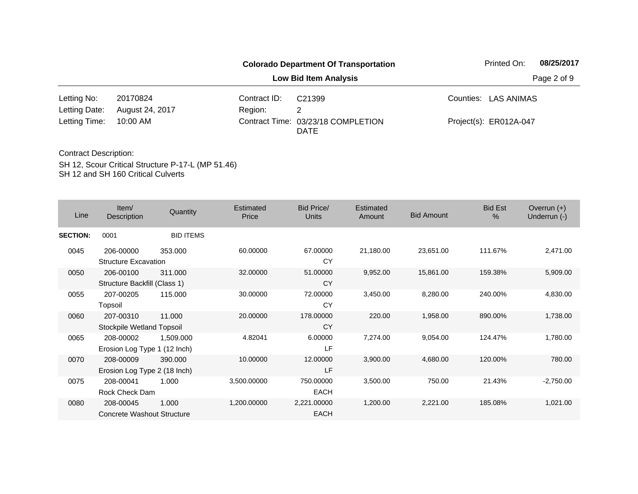|               |                 |              | <b>Colorado Department Of Transportation</b>      | Printed On:            | 08/25/2017  |
|---------------|-----------------|--------------|---------------------------------------------------|------------------------|-------------|
|               |                 |              | <b>Low Bid Item Analysis</b>                      |                        | Page 2 of 9 |
| Letting No:   | 20170824        | Contract ID: | C21399                                            | Counties: LAS ANIMAS   |             |
| Letting Date: | August 24, 2017 | Region:      |                                                   |                        |             |
| Letting Time: | 10:00 AM        |              | Contract Time: 03/23/18 COMPLETION<br><b>DATE</b> | Project(s): ER012A-047 |             |

| Line            | Item/<br>Description                      | Quantity         | <b>Estimated</b><br>Price | <b>Bid Price/</b><br><b>Units</b> | Estimated<br>Amount | <b>Bid Amount</b> | <b>Bid Est</b><br>$\frac{0}{0}$ | Overrun $(+)$<br>Underrun (-) |
|-----------------|-------------------------------------------|------------------|---------------------------|-----------------------------------|---------------------|-------------------|---------------------------------|-------------------------------|
| <b>SECTION:</b> | 0001                                      | <b>BID ITEMS</b> |                           |                                   |                     |                   |                                 |                               |
| 0045            | 206-00000<br><b>Structure Excavation</b>  | 353.000          | 60.00000                  | 67.00000<br>CY                    | 21,180.00           | 23,651.00         | 111.67%                         | 2,471.00                      |
| 0050            | 206-00100<br>Structure Backfill (Class 1) | 311.000          | 32.00000                  | 51.00000<br><b>CY</b>             | 9,952.00            | 15,861.00         | 159.38%                         | 5,909.00                      |
| 0055            | 207-00205<br>Topsoil                      | 115,000          | 30.00000                  | 72.00000<br>CY                    | 3,450.00            | 8,280.00          | 240.00%                         | 4,830.00                      |
| 0060            | 207-00310<br>Stockpile Wetland Topsoil    | 11.000           | 20.00000                  | 178.00000<br>CY                   | 220.00              | 1,958.00          | 890.00%                         | 1,738.00                      |
| 0065            | 208-00002<br>Erosion Log Type 1 (12 Inch) | 1,509.000        | 4.82041                   | 6.00000<br>LF                     | 7,274.00            | 9,054.00          | 124.47%                         | 1,780.00                      |
| 0070            | 208-00009<br>Erosion Log Type 2 (18 Inch) | 390,000          | 10.00000                  | 12.00000<br>LF                    | 3,900.00            | 4,680.00          | 120.00%                         | 780.00                        |
| 0075            | 208-00041<br>Rock Check Dam               | 1.000            | 3,500.00000               | 750.00000<br><b>EACH</b>          | 3,500.00            | 750.00            | 21.43%                          | $-2,750.00$                   |
| 0080            | 208-00045<br>Concrete Washout Structure   | 1.000            | 1,200.00000               | 2,221.00000<br><b>EACH</b>        | 1,200.00            | 2,221.00          | 185.08%                         | 1,021.00                      |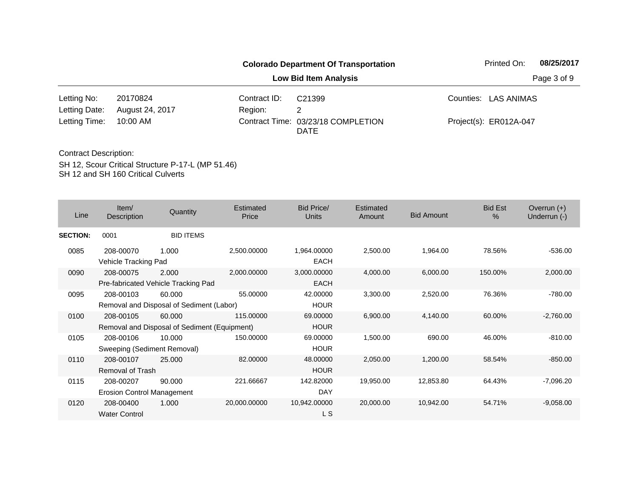|               |                 |              | <b>Colorado Department Of Transportation</b> | Printed On:            | 08/25/2017  |
|---------------|-----------------|--------------|----------------------------------------------|------------------------|-------------|
|               |                 |              | <b>Low Bid Item Analysis</b>                 |                        | Page 3 of 9 |
| Letting No:   | 20170824        | Contract ID: | C21399                                       | Counties: LAS ANIMAS   |             |
| Letting Date: | August 24, 2017 | Region:      |                                              |                        |             |
| Letting Time: | 10:00 AM        |              | Contract Time: 03/23/18 COMPLETION<br>DATE   | Project(s): ER012A-047 |             |

| Line            | Item/<br>Description                           | Quantity                                               | <b>Estimated</b><br>Price | <b>Bid Price/</b><br><b>Units</b> | Estimated<br>Amount | <b>Bid Amount</b> | <b>Bid Est</b><br>$\%$ | Overrun $(+)$<br>Underrun (-) |
|-----------------|------------------------------------------------|--------------------------------------------------------|---------------------------|-----------------------------------|---------------------|-------------------|------------------------|-------------------------------|
| <b>SECTION:</b> | 0001                                           | <b>BID ITEMS</b>                                       |                           |                                   |                     |                   |                        |                               |
| 0085            | 208-00070<br>Vehicle Tracking Pad              | 1.000                                                  | 2,500.00000               | 1,964.00000<br><b>EACH</b>        | 2,500.00            | 1,964.00          | 78.56%                 | $-536.00$                     |
| 0090            | 208-00075                                      | 2.000<br>Pre-fabricated Vehicle Tracking Pad           | 2,000.00000               | 3,000.00000<br><b>EACH</b>        | 4,000.00            | 6,000.00          | 150.00%                | 2,000.00                      |
| 0095            | 208-00103                                      | 60.000<br>Removal and Disposal of Sediment (Labor)     | 55.00000                  | 42.00000<br><b>HOUR</b>           | 3,300.00            | 2,520.00          | 76.36%                 | $-780.00$                     |
| 0100            | 208-00105                                      | 60,000<br>Removal and Disposal of Sediment (Equipment) | 115.00000                 | 69.00000<br><b>HOUR</b>           | 6,900.00            | 4,140.00          | 60.00%                 | $-2,760.00$                   |
| 0105            | 208-00106<br>Sweeping (Sediment Removal)       | 10.000                                                 | 150.00000                 | 69.00000<br><b>HOUR</b>           | 1,500.00            | 690.00            | 46.00%                 | $-810.00$                     |
| 0110            | 208-00107<br><b>Removal of Trash</b>           | 25,000                                                 | 82.00000                  | 48.00000<br><b>HOUR</b>           | 2,050.00            | 1,200.00          | 58.54%                 | $-850.00$                     |
| 0115            | 208-00207<br><b>Erosion Control Management</b> | 90.000                                                 | 221.66667                 | 142.82000<br><b>DAY</b>           | 19,950.00           | 12,853.80         | 64.43%                 | $-7,096.20$                   |
| 0120            | 208-00400<br><b>Water Control</b>              | 1.000                                                  | 20,000.00000              | 10,942.00000<br>L S               | 20,000.00           | 10,942.00         | 54.71%                 | $-9,058.00$                   |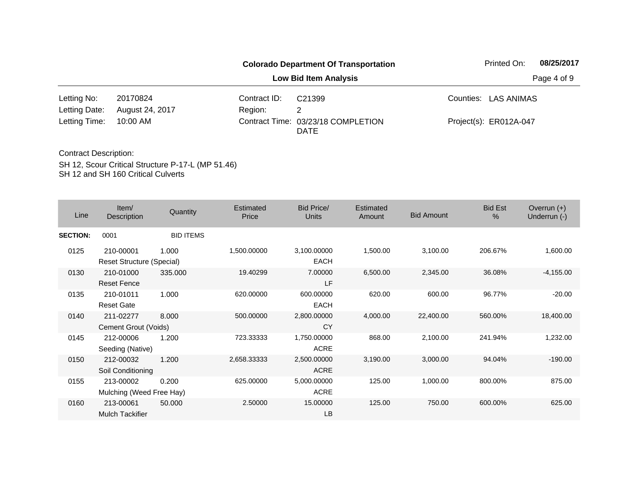|               |                 |              | <b>Colorado Department Of Transportation</b>      | Printed On:            | 08/25/2017  |
|---------------|-----------------|--------------|---------------------------------------------------|------------------------|-------------|
|               |                 |              | Low Bid Item Analysis                             |                        | Page 4 of 9 |
| Letting No:   | 20170824        | Contract ID: | C21399                                            | Counties: LAS ANIMAS   |             |
| Letting Date: | August 24, 2017 | Region:      | 2                                                 |                        |             |
| Letting Time: | 10:00 AM        |              | Contract Time: 03/23/18 COMPLETION<br><b>DATE</b> | Project(s): ER012A-047 |             |

SH 12, Scour Critical Structure P-17-L (MP 51.46) SH 12 and SH 160 Critical Culverts Contract Description:

| Line            | Item/<br>Description                          | Quantity         | <b>Estimated</b><br>Price | Bid Price/<br>Units        | Estimated<br>Amount | <b>Bid Amount</b> | <b>Bid Est</b><br>$\frac{0}{0}$ | Overrun $(+)$<br>Underrun (-) |
|-----------------|-----------------------------------------------|------------------|---------------------------|----------------------------|---------------------|-------------------|---------------------------------|-------------------------------|
| <b>SECTION:</b> | 0001                                          | <b>BID ITEMS</b> |                           |                            |                     |                   |                                 |                               |
| 0125            | 210-00001<br><b>Reset Structure (Special)</b> | 1.000            | 1,500.00000               | 3,100.00000<br><b>EACH</b> | 1,500.00            | 3,100.00          | 206.67%                         | 1,600.00                      |
| 0130            | 210-01000<br><b>Reset Fence</b>               | 335.000          | 19.40299                  | 7.00000<br>LF.             | 6,500.00            | 2,345.00          | 36.08%                          | $-4,155.00$                   |
| 0135            | 210-01011<br><b>Reset Gate</b>                | 1.000            | 620.00000                 | 600.00000<br><b>EACH</b>   | 620.00              | 600.00            | 96.77%                          | $-20.00$                      |
| 0140            | 211-02277<br>Cement Grout (Voids)             | 8.000            | 500.00000                 | 2,800.00000<br><b>CY</b>   | 4,000.00            | 22,400.00         | 560.00%                         | 18,400.00                     |
| 0145            | 212-00006<br>Seeding (Native)                 | 1.200            | 723.33333                 | 1,750.00000<br><b>ACRE</b> | 868.00              | 2,100.00          | 241.94%                         | 1,232.00                      |
| 0150            | 212-00032<br>Soil Conditioning                | 1.200            | 2,658.33333               | 2,500.00000<br><b>ACRE</b> | 3,190.00            | 3,000.00          | 94.04%                          | $-190.00$                     |
| 0155            | 213-00002<br>Mulching (Weed Free Hay)         | 0.200            | 625.00000                 | 5,000.00000<br><b>ACRE</b> | 125.00              | 1,000.00          | 800.00%                         | 875.00                        |
| 0160            | 213-00061<br><b>Mulch Tackifier</b>           | 50.000           | 2.50000                   | 15.00000<br>LB             | 125.00              | 750.00            | 600.00%                         | 625.00                        |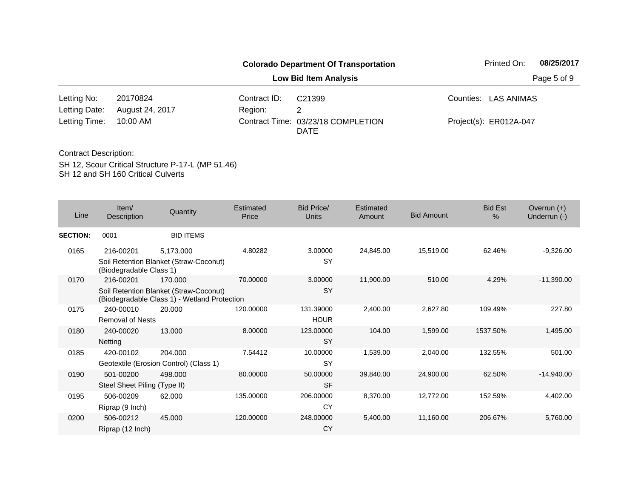|               |                 |              | <b>Colorado Department Of Transportation</b>      | Printed On:            | 08/25/2017  |
|---------------|-----------------|--------------|---------------------------------------------------|------------------------|-------------|
|               |                 |              | <b>Low Bid Item Analysis</b>                      |                        | Page 5 of 9 |
| Letting No:   | 20170824        | Contract ID: | C21399                                            | Counties: LAS ANIMAS   |             |
| Letting Date: | August 24, 2017 | Region:      | 2                                                 |                        |             |
| Letting Time: | 10:00 AM        |              | Contract Time: 03/23/18 COMPLETION<br><b>DATE</b> | Project(s): ER012A-047 |             |

| Line            | Item/<br><b>Description</b>               | Quantity                                                                                          | Estimated<br>Price | <b>Bid Price/</b><br>Units | Estimated<br>Amount | <b>Bid Amount</b> | <b>Bid Est</b><br>% | Overrun $(+)$<br>Underrun (-) |
|-----------------|-------------------------------------------|---------------------------------------------------------------------------------------------------|--------------------|----------------------------|---------------------|-------------------|---------------------|-------------------------------|
| <b>SECTION:</b> | 0001                                      | <b>BID ITEMS</b>                                                                                  |                    |                            |                     |                   |                     |                               |
| 0165            | 216-00201<br>(Biodegradable Class 1)      | 5,173,000<br>Soil Retention Blanket (Straw-Coconut)                                               | 4.80282            | 3.00000<br>SY              | 24,845.00           | 15,519.00         | 62.46%              | $-9,326.00$                   |
| 0170            | 216-00201                                 | 170,000<br>Soil Retention Blanket (Straw-Coconut)<br>(Biodegradable Class 1) - Wetland Protection | 70.00000           | 3.00000<br>SY              | 11,900.00           | 510.00            | 4.29%               | $-11,390.00$                  |
| 0175            | 240-00010<br><b>Removal of Nests</b>      | 20.000                                                                                            | 120.00000          | 131.39000<br><b>HOUR</b>   | 2,400.00            | 2,627.80          | 109.49%             | 227.80                        |
| 0180            | 240-00020<br>Netting                      | 13.000                                                                                            | 8.00000            | 123.00000<br>SY            | 104.00              | 1,599.00          | 1537.50%            | 1,495.00                      |
| 0185            | 420-00102                                 | 204.000<br>Geotextile (Erosion Control) (Class 1)                                                 | 7.54412            | 10.00000<br>SY             | 1,539.00            | 2,040.00          | 132.55%             | 501.00                        |
| 0190            | 501-00200<br>Steel Sheet Piling (Type II) | 498.000                                                                                           | 80.00000           | 50.00000<br><b>SF</b>      | 39,840.00           | 24,900.00         | 62.50%              | $-14,940.00$                  |
| 0195            | 506-00209<br>Riprap (9 Inch)              | 62.000                                                                                            | 135.00000          | 206.00000<br>CY            | 8,370.00            | 12,772.00         | 152.59%             | 4,402.00                      |
| 0200            | 506-00212<br>Riprap (12 Inch)             | 45,000                                                                                            | 120.00000          | 248.00000<br>CY            | 5,400.00            | 11,160.00         | 206.67%             | 5,760.00                      |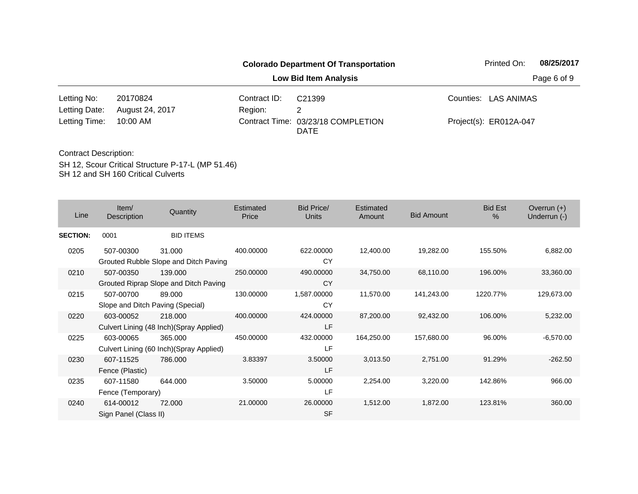|               |                 |              | <b>Colorado Department Of Transportation</b> | Printed On:            | 08/25/2017  |
|---------------|-----------------|--------------|----------------------------------------------|------------------------|-------------|
|               |                 |              | Low Bid Item Analysis                        |                        | Page 6 of 9 |
| Letting No:   | 20170824        | Contract ID: | C21399                                       | Counties: LAS ANIMAS   |             |
| Letting Date: | August 24, 2017 | Region:      |                                              |                        |             |
| Letting Time: | 10:00 AM        |              | Contract Time: 03/23/18 COMPLETION<br>DATE   | Project(s): ER012A-047 |             |

SH 12, Scour Critical Structure P-17-L (MP 51.46) SH 12 and SH 160 Critical Culverts Contract Description:

| Line            | Item $/$<br>Description                       | Quantity                                            | <b>Estimated</b><br>Price | Bid Price/<br><b>Units</b> | Estimated<br>Amount | <b>Bid Amount</b> | <b>Bid Est</b><br>$\%$ | Overrun $(+)$<br>Underrun (-) |
|-----------------|-----------------------------------------------|-----------------------------------------------------|---------------------------|----------------------------|---------------------|-------------------|------------------------|-------------------------------|
| <b>SECTION:</b> | 0001                                          | <b>BID ITEMS</b>                                    |                           |                            |                     |                   |                        |                               |
| 0205            | 507-00300                                     | 31.000<br>Grouted Rubble Slope and Ditch Paving     | 400.00000                 | 622,00000<br>CY            | 12,400.00           | 19,282.00         | 155.50%                | 6,882.00                      |
| 0210            | 507-00350                                     | 139.000<br>Grouted Riprap Slope and Ditch Paving    | 250.00000                 | 490.00000<br><b>CY</b>     | 34,750.00           | 68,110.00         | 196.00%                | 33,360.00                     |
| 0215            | 507-00700<br>Slope and Ditch Paving (Special) | 89.000                                              | 130.00000                 | 1,587.00000<br>CY          | 11,570.00           | 141,243.00        | 1220.77%               | 129,673.00                    |
| 0220            | 603-00052                                     | 218,000<br>Culvert Lining (48 Inch) (Spray Applied) | 400.00000                 | 424.00000<br>LF            | 87,200.00           | 92,432.00         | 106.00%                | 5,232.00                      |
| 0225            | 603-00065                                     | 365.000<br>Culvert Lining (60 Inch) (Spray Applied) | 450.00000                 | 432.00000<br>LF            | 164,250.00          | 157,680.00        | 96.00%                 | $-6,570.00$                   |
| 0230            | 607-11525<br>Fence (Plastic)                  | 786,000                                             | 3.83397                   | 3.50000<br>LF              | 3,013.50            | 2,751.00          | 91.29%                 | $-262.50$                     |
| 0235            | 607-11580<br>Fence (Temporary)                | 644.000                                             | 3.50000                   | 5.00000<br>LF              | 2,254.00            | 3,220.00          | 142.86%                | 966.00                        |
| 0240            | 614-00012<br>Sign Panel (Class II)            | 72,000                                              | 21.00000                  | 26.00000<br><b>SF</b>      | 1,512.00            | 1,872.00          | 123.81%                | 360.00                        |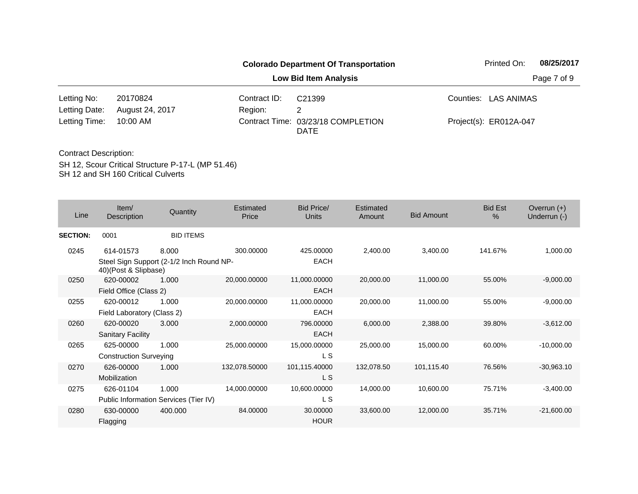|               |                 |              | <b>Colorado Department Of Transportation</b>      | Printed On:            | 08/25/2017  |
|---------------|-----------------|--------------|---------------------------------------------------|------------------------|-------------|
|               |                 |              | <b>Low Bid Item Analysis</b>                      |                        | Page 7 of 9 |
| Letting No:   | 20170824        | Contract ID: | C21399                                            | Counties: LAS ANIMAS   |             |
| Letting Date: | August 24, 2017 | Region:      | 2                                                 |                        |             |
| Letting Time: | 10:00 AM        |              | Contract Time: 03/23/18 COMPLETION<br><b>DATE</b> | Project(s): ER012A-047 |             |

| Line            | Item/<br>Description          | Quantity                                 | Estimated<br>Price | <b>Bid Price/</b><br>Units | Estimated<br>Amount | <b>Bid Amount</b> | <b>Bid Est</b><br>$\%$ | Overrun $(+)$<br>Underrun (-) |
|-----------------|-------------------------------|------------------------------------------|--------------------|----------------------------|---------------------|-------------------|------------------------|-------------------------------|
| <b>SECTION:</b> | 0001                          | <b>BID ITEMS</b>                         |                    |                            |                     |                   |                        |                               |
| 0245            | 614-01573                     | 8.000                                    | 300.00000          | 425.00000                  | 2,400.00            | 3,400.00          | 141.67%                | 1,000.00                      |
|                 | 40)(Post & Slipbase)          | Steel Sign Support (2-1/2 Inch Round NP- |                    | <b>EACH</b>                |                     |                   |                        |                               |
| 0250            | 620-00002                     | 1.000                                    | 20,000.00000       | 11,000.00000               | 20,000.00           | 11,000.00         | 55.00%                 | $-9,000.00$                   |
|                 | Field Office (Class 2)        |                                          |                    | <b>EACH</b>                |                     |                   |                        |                               |
| 0255            | 620-00012                     | 1.000                                    | 20,000.00000       | 11,000.00000               | 20,000.00           | 11,000.00         | 55.00%                 | $-9,000.00$                   |
|                 | Field Laboratory (Class 2)    |                                          |                    | <b>EACH</b>                |                     |                   |                        |                               |
| 0260            | 620-00020                     | 3.000                                    | 2,000.00000        | 796.00000                  | 6,000.00            | 2,388.00          | 39.80%                 | $-3,612.00$                   |
|                 | <b>Sanitary Facility</b>      |                                          |                    | <b>EACH</b>                |                     |                   |                        |                               |
| 0265            | 625-00000                     | 1.000                                    | 25,000.00000       | 15,000.00000               | 25,000.00           | 15,000.00         | 60.00%                 | $-10,000.00$                  |
|                 | <b>Construction Surveying</b> |                                          |                    | L S                        |                     |                   |                        |                               |
| 0270            | 626-00000                     | 1.000                                    | 132,078.50000      | 101,115.40000              | 132,078.50          | 101,115.40        | 76.56%                 | $-30,963.10$                  |
|                 | Mobilization                  |                                          |                    | L S                        |                     |                   |                        |                               |
| 0275            | 626-01104                     | 1.000                                    | 14,000.00000       | 10,600.00000               | 14,000.00           | 10,600.00         | 75.71%                 | $-3,400.00$                   |
|                 |                               | Public Information Services (Tier IV)    |                    | L S                        |                     |                   |                        |                               |
| 0280            | 630-00000<br>Flagging         | 400.000                                  | 84.00000           | 30.00000<br><b>HOUR</b>    | 33,600.00           | 12,000.00         | 35.71%                 | $-21,600.00$                  |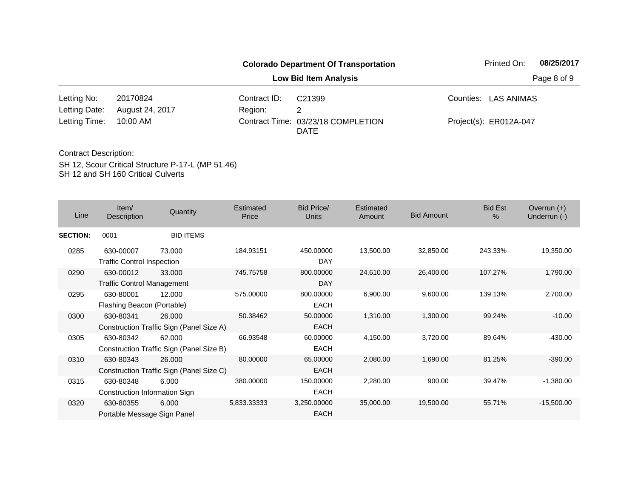| <b>Colorado Department Of Transportation</b> |                 |                              |                                                   |  | 08/25/2017<br>Printed On: |  |  |  |
|----------------------------------------------|-----------------|------------------------------|---------------------------------------------------|--|---------------------------|--|--|--|
|                                              |                 | <b>Low Bid Item Analysis</b> |                                                   |  |                           |  |  |  |
| Letting No:                                  | 20170824        | Contract ID:                 | C21399                                            |  | Counties: LAS ANIMAS      |  |  |  |
| Letting Date:                                | August 24, 2017 | Region:                      |                                                   |  |                           |  |  |  |
| Letting Time:                                | 10:00 AM        |                              | Contract Time: 03/23/18 COMPLETION<br><b>DATE</b> |  | Project(s): ER012A-047    |  |  |  |

| Line            | Item/<br>Description                           | Quantity                                           | <b>Estimated</b><br>Price | <b>Bid Price/</b><br><b>Units</b> | Estimated<br>Amount | <b>Bid Amount</b> | <b>Bid Est</b><br>$\frac{0}{0}$ | Overrun $(+)$<br>Underrun (-) |
|-----------------|------------------------------------------------|----------------------------------------------------|---------------------------|-----------------------------------|---------------------|-------------------|---------------------------------|-------------------------------|
| <b>SECTION:</b> | 0001                                           | <b>BID ITEMS</b>                                   |                           |                                   |                     |                   |                                 |                               |
| 0285            | 630-00007<br><b>Traffic Control Inspection</b> | 73.000                                             | 184.93151                 | 450.00000<br><b>DAY</b>           | 13,500.00           | 32,850.00         | 243.33%                         | 19,350.00                     |
| 0290            | 630-00012<br><b>Traffic Control Management</b> | 33.000                                             | 745.75758                 | 800.00000<br>DAY                  | 24,610.00           | 26,400.00         | 107.27%                         | 1,790.00                      |
| 0295            | 630-80001<br>Flashing Beacon (Portable)        | 12.000                                             | 575.00000                 | 800.00000<br><b>EACH</b>          | 6,900.00            | 9,600.00          | 139.13%                         | 2,700.00                      |
| 0300            | 630-80341                                      | 26.000<br>Construction Traffic Sign (Panel Size A) | 50.38462                  | 50.00000<br><b>EACH</b>           | 1,310.00            | 1,300.00          | 99.24%                          | $-10.00$                      |
| 0305            | 630-80342                                      | 62.000<br>Construction Traffic Sign (Panel Size B) | 66.93548                  | 60.00000<br><b>EACH</b>           | 4,150.00            | 3,720.00          | 89.64%                          | $-430.00$                     |
| 0310            | 630-80343                                      | 26,000<br>Construction Traffic Sign (Panel Size C) | 80.00000                  | 65.00000<br>EACH                  | 2,080.00            | 1,690.00          | 81.25%                          | $-390.00$                     |
| 0315            | 630-80348<br>Construction Information Sign     | 6.000                                              | 380.00000                 | 150.00000<br><b>EACH</b>          | 2,280.00            | 900.00            | 39.47%                          | $-1,380.00$                   |
| 0320            | 630-80355<br>Portable Message Sign Panel       | 6.000                                              | 5,833.33333               | 3,250.00000<br><b>EACH</b>        | 35,000.00           | 19,500.00         | 55.71%                          | $-15,500.00$                  |